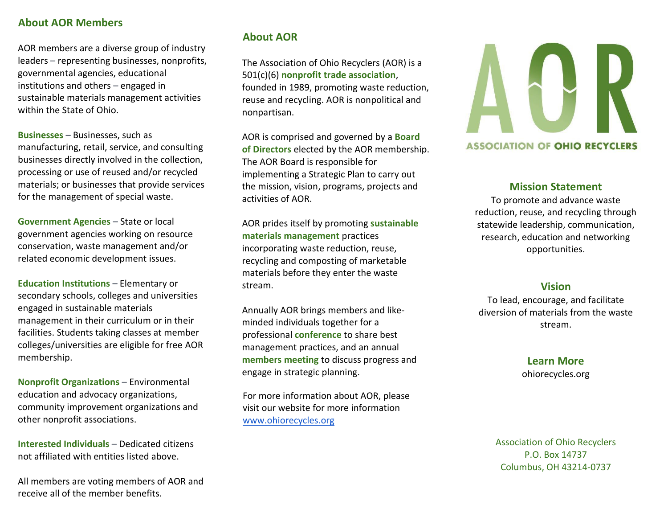# **About AOR Members**

AOR members are a diverse group of industry leaders – representing businesses, nonprofits, governmental agencies, educational institutions and others – engaged in sustainable materials management activities within the State of Ohio.

**Businesses** – Businesses, such as manufacturing, retail, service, and consulting businesses directly involved in the collection, processing or use of reused and/or recycled materials; or businesses that provide services for the management of special waste.

**Government Agencies** – State or local government agencies working on resource conservation, waste management and/or related economic development issues.

**Education Institutions** – Elementary or secondary schools, colleges and universities engaged in sustainable materials management in their curriculum or in their facilities. Students taking classes at member colleges/universities are eligible for free AOR membership.

**Nonprofit Organizations** – Environmental education and advocacy organizations, community improvement organizations and other nonprofit associations.

**Interested Individuals** – Dedicated citizens not affiliated with entities listed above.

All members are voting members of AOR and receive all of the member benefits.

# **About AOR**

The Association of Ohio Recyclers (AOR) is a 501(c)(6) **nonprofit trade association**, founded in 1989, promoting waste reduction, reuse and recycling. AOR is nonpolitical and nonpartisan.

AOR is comprised and governed by a **Board of Directors** elected by the AOR membership. The AOR Board is responsible for implementing a Strategic Plan to carry out the mission, vision, programs, projects and activities of AOR.

AOR prides itself by promoting **sustainable materials management** practices incorporating waste reduction, reuse, recycling and composting of marketable materials before they enter the waste stream.

Annually AOR brings members and likeminded individuals together for a professional **conference** to share best management practices, and an annual **members meeting** to discuss progress and engage in strategic planning.

For more information about AOR, please visit our website for more information [www.ohiorecycles.org](http://www.ohiorecycles.org/)



## **ASSOCIATION OF OHIO RECYCLERS**

# **Mission Statement**

To promote and advance waste reduction, reuse, and recycling through statewide leadership, communication, research, education and networking opportunities.

# **Vision**

To lead, encourage, and facilitate diversion of materials from the waste stream.

# **Learn More** [ohiorecycles.org](http://www.ohiorecyles.org/)

Association of Ohio Recyclers P.O. Box 14737 Columbus, OH 43214-0737